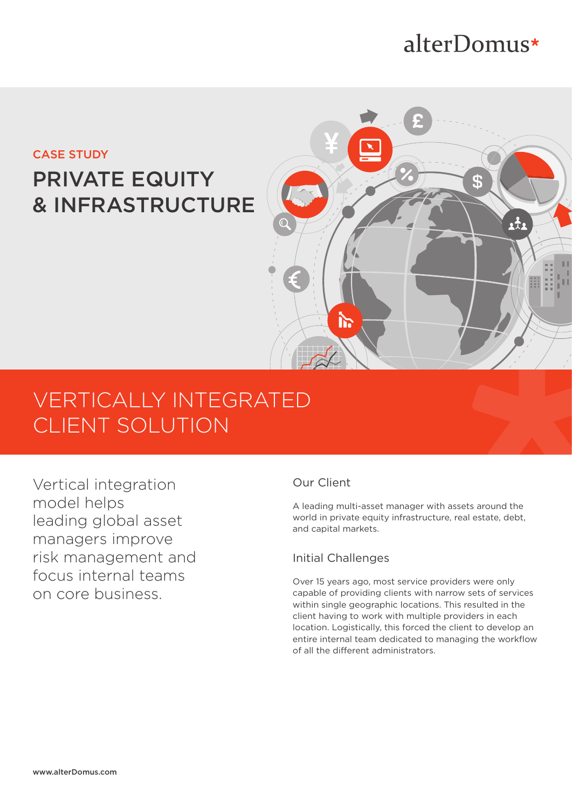# alterDomus\*

## CASE STUDY PRIVATE EQUITY & INFRASTRUCTURE



## VERTICALLY INTEGRATED CLIENT SOLUTION

Vertical integration model helps leading global asset managers improve risk management and focus internal teams on core business.

## Our Client

A leading multi-asset manager with assets around the world in private equity infrastructure, real estate, debt, and capital markets.

### Initial Challenges

Over 15 years ago, most service providers were only capable of providing clients with narrow sets of services within single geographic locations. This resulted in the client having to work with multiple providers in each location. Logistically, this forced the client to develop an entire internal team dedicated to managing the workflow of all the different administrators.